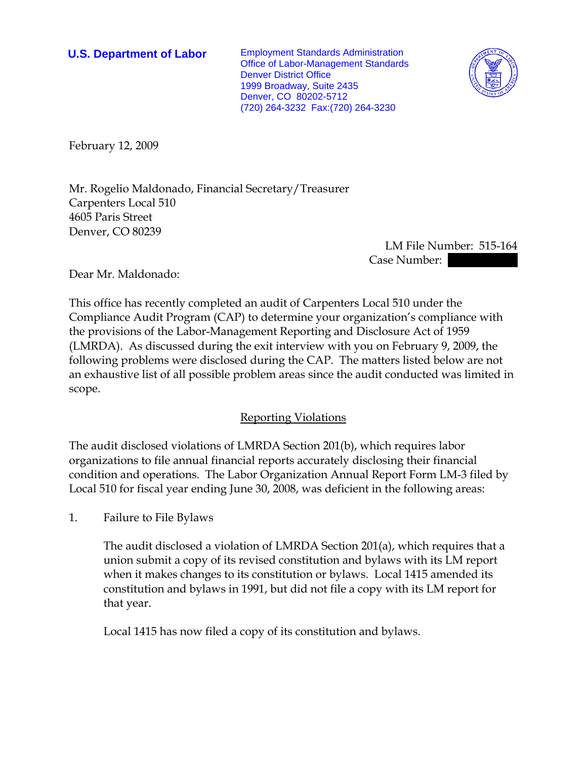**U.S. Department of Labor** Employment Standards Administration Office of Labor-Management Standards Denver District Office 1999 Broadway, Suite 2435 Denver, CO 80202-5712 (720) 264-3232 Fax:(720) 264-3230



February 12, 2009

Mr. Rogelio Maldonado, Financial Secretary/Treasurer Carpenters Local 510 4605 Paris Street Denver, CO 80239

> LM File Number: 515-164 Case Number:  $\blacksquare$

Dear Mr. Maldonado:

This office has recently completed an audit of Carpenters Local 510 under the Compliance Audit Program (CAP) to determine your organization's compliance with the provisions of the Labor-Management Reporting and Disclosure Act of 1959 (LMRDA). As discussed during the exit interview with you on February 9, 2009, the following problems were disclosed during the CAP. The matters listed below are not an exhaustive list of all possible problem areas since the audit conducted was limited in scope.

## Reporting Violations

The audit disclosed violations of LMRDA Section 201(b), which requires labor organizations to file annual financial reports accurately disclosing their financial condition and operations. The Labor Organization Annual Report Form LM-3 filed by Local 510 for fiscal year ending June 30, 2008, was deficient in the following areas:

1. Failure to File Bylaws

The audit disclosed a violation of LMRDA Section 201(a), which requires that a union submit a copy of its revised constitution and bylaws with its LM report when it makes changes to its constitution or bylaws. Local 1415 amended its constitution and bylaws in 1991, but did not file a copy with its LM report for that year.

Local 1415 has now filed a copy of its constitution and bylaws.